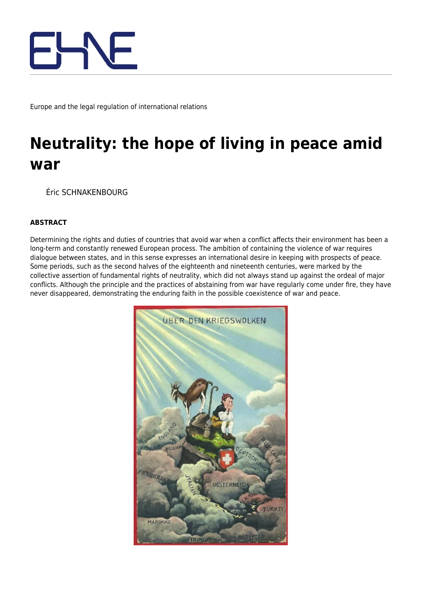

Europe and the legal regulation of international relations

## **Neutrality: the hope of living in peace amid war**

Éric SCHNAKENBOURG

## **ABSTRACT**

Determining the rights and duties of countries that avoid war when a conflict affects their environment has been a long-term and constantly renewed European process. The ambition of containing the violence of war requires dialogue between states, and in this sense expresses an international desire in keeping with prospects of peace. Some periods, such as the second halves of the eighteenth and nineteenth centuries, were marked by the collective assertion of fundamental rights of neutrality, which did not always stand up against the ordeal of major conflicts. Although the principle and the practices of abstaining from war have regularly come under fire, they have never disappeared, demonstrating the enduring faith in the possible coexistence of war and peace.

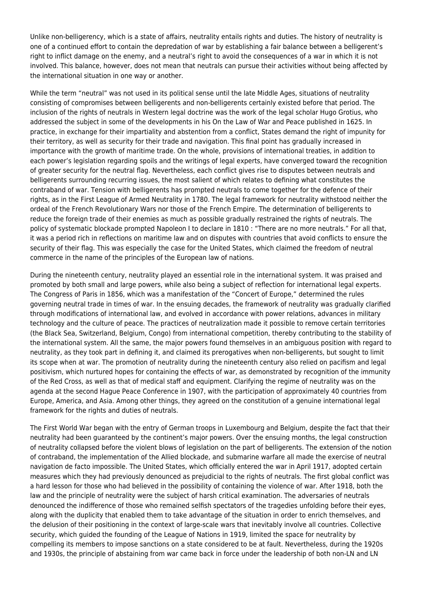Unlike non-belligerency, which is a state of affairs, neutrality entails rights and duties. The history of neutrality is one of a continued effort to contain the depredation of war by establishing a fair balance between a belligerent's right to inflict damage on the enemy, and a neutral's right to avoid the consequences of a war in which it is not involved. This balance, however, does not mean that neutrals can pursue their activities without being affected by the international situation in one way or another.

While the term "neutral" was not used in its political sense until the late Middle Ages, situations of neutrality consisting of compromises between belligerents and non-belligerents certainly existed before that period. The inclusion of the rights of neutrals in Western legal doctrine was the work of the legal scholar Hugo Grotius, who addressed the subject in some of the developments in his On the Law of War and Peace published in 1625. In practice, in exchange for their impartiality and abstention from a conflict, States demand the right of impunity for their territory, as well as security for their trade and navigation. This final point has gradually increased in importance with the growth of maritime trade. On the whole, provisions of international treaties, in addition to each power's legislation regarding spoils and the writings of legal experts, have converged toward the recognition of greater security for the neutral flag. Nevertheless, each conflict gives rise to disputes between neutrals and belligerents surrounding recurring issues, the most salient of which relates to defining what constitutes the contraband of war. Tension with belligerents has prompted neutrals to come together for the defence of their rights, as in the First League of Armed Neutrality in 1780. The legal framework for neutrality withstood neither the ordeal of the French Revolutionary Wars nor those of the French Empire. The determination of belligerents to reduce the foreign trade of their enemies as much as possible gradually restrained the rights of neutrals. The policy of systematic blockade prompted Napoleon I to declare in 1810 : "There are no more neutrals." For all that, it was a period rich in reflections on maritime law and on disputes with countries that avoid conflicts to ensure the security of their flag. This was especially the case for the United States, which claimed the freedom of neutral commerce in the name of the principles of the European law of nations.

During the nineteenth century, neutrality played an essential role in the international system. It was praised and promoted by both small and large powers, while also being a subject of reflection for international legal experts. The Congress of Paris in 1856, which was a manifestation of the "Concert of Europe," determined the rules governing neutral trade in times of war. In the ensuing decades, the framework of neutrality was gradually clarified through modifications of international law, and evolved in accordance with power relations, advances in military technology and the culture of peace. The practices of neutralization made it possible to remove certain territories (the Black Sea, Switzerland, Belgium, Congo) from international competition, thereby contributing to the stability of the international system. All the same, the major powers found themselves in an ambiguous position with regard to neutrality, as they took part in defining it, and claimed its prerogatives when non-belligerents, but sought to limit its scope when at war. The promotion of neutrality during the nineteenth century also relied on pacifism and legal positivism, which nurtured hopes for containing the effects of war, as demonstrated by recognition of the immunity of the Red Cross, as well as that of medical staff and equipment. Clarifying the regime of neutrality was on the agenda at the second Hague Peace Conference in 1907, with the participation of approximately 40 countries from Europe, America, and Asia. Among other things, they agreed on the constitution of a genuine international legal framework for the rights and duties of neutrals.

The First World War began with the entry of German troops in Luxembourg and Belgium, despite the fact that their neutrality had been guaranteed by the continent's major powers. Over the ensuing months, the legal construction of neutrality collapsed before the violent blows of legislation on the part of belligerents. The extension of the notion of contraband, the implementation of the Allied blockade, and submarine warfare all made the exercise of neutral navigation de facto impossible. The United States, which officially entered the war in April 1917, adopted certain measures which they had previously denounced as prejudicial to the rights of neutrals. The first global conflict was a hard lesson for those who had believed in the possibility of containing the violence of war. After 1918, both the law and the principle of neutrality were the subject of harsh critical examination. The adversaries of neutrals denounced the indifference of those who remained selfish spectators of the tragedies unfolding before their eyes, along with the duplicity that enabled them to take advantage of the situation in order to enrich themselves, and the delusion of their positioning in the context of large-scale wars that inevitably involve all countries. Collective security, which guided the founding of the League of Nations in 1919, limited the space for neutrality by compelling its members to impose sanctions on a state considered to be at fault. Nevertheless, during the 1920s and 1930s, the principle of abstaining from war came back in force under the leadership of both non-LN and LN